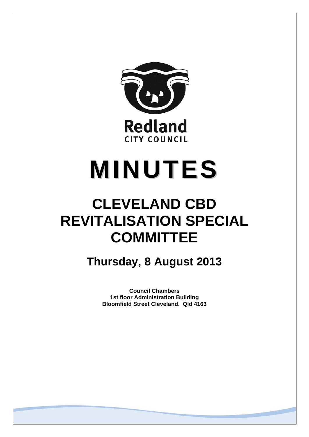

# **MINUTES**

## **CLEVELAND CBD REVITALISATION SPECIAL COMMITTEE**

**Thursday, 8 August 2013** 

**Council Chambers 1st floor Administration Building Bloomfield Street Cleveland. Qld 4163**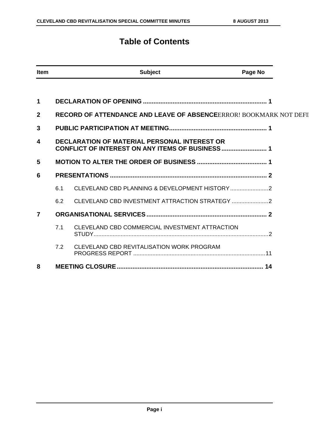### **Table of Contents**

| <b>Item</b>    |     | <b>Subject</b>                                                            | Page No |
|----------------|-----|---------------------------------------------------------------------------|---------|
|                |     |                                                                           |         |
| 1              |     |                                                                           |         |
| $\overline{2}$ |     | <b>RECORD OF ATTENDANCE AND LEAVE OF ABSENCEERROR! BOOKMARK NOT DEFIL</b> |         |
| 3              |     |                                                                           |         |
| 4              |     | <b>DECLARATION OF MATERIAL PERSONAL INTEREST OR</b>                       |         |
| 5              |     |                                                                           |         |
| 6              |     |                                                                           |         |
|                | 6.1 |                                                                           |         |
|                | 6.2 |                                                                           |         |
| $\overline{7}$ |     |                                                                           |         |
|                | 7.1 | CLEVELAND CBD COMMERCIAL INVESTMENT ATTRACTION                            |         |
|                | 7.2 | CLEVELAND CBD REVITALISATION WORK PROGRAM                                 |         |
| 8              |     |                                                                           |         |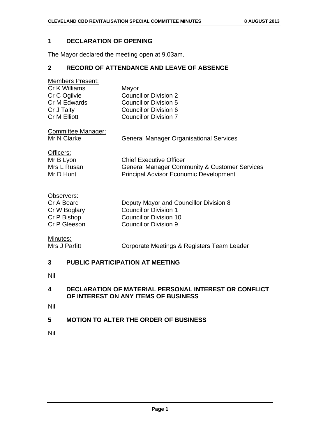#### **1 DECLARATION OF OPENING**

The Mayor declared the meeting open at 9.03am.

#### **2 RECORD OF ATTENDANCE AND LEAVE OF ABSENCE**

| <b>Members Present:</b> |                              |
|-------------------------|------------------------------|
| Cr K Williams           | Mayor                        |
| Cr C Ogilvie            | <b>Councillor Division 2</b> |
| Cr M Edwards            | <b>Councillor Division 5</b> |
| Cr J Talty              | Councillor Division 6        |
| <b>Cr M Elliott</b>     | <b>Councillor Division 7</b> |
|                         |                              |

Committee Manager:

Mr N Clarke **General Manager Organisational Services** 

Officers:

Mr B Lyon Chief Executive Officer Mrs L Rusan General Manager Community & Customer Services Mr D Hunt Principal Advisor Economic Development

#### Observers:

| Cr A Beard   | Deputy Mayor and Councillor Division 8 |
|--------------|----------------------------------------|
| Cr W Boglary | <b>Councillor Division 1</b>           |
| Cr P Bishop  | Councillor Division 10                 |
| Cr P Gleeson | Councillor Division 9                  |

**Minutes:**<br>Mrs J Parfitt

Corporate Meetings & Registers Team Leader

#### **3 PUBLIC PARTICIPATION AT MEETING**

Nil

#### **4 DECLARATION OF MATERIAL PERSONAL INTEREST OR CONFLICT OF INTEREST ON ANY ITEMS OF BUSINESS**

Nil

#### **5 MOTION TO ALTER THE ORDER OF BUSINESS**

Nil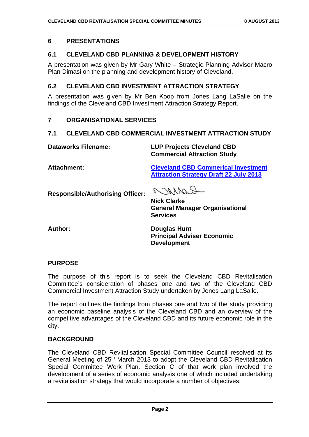#### **6 PRESENTATIONS**

#### **6.1 CLEVELAND CBD PLANNING & DEVELOPMENT HISTORY**

A presentation was given by Mr Gary White – Strategic Planning Advisor Macro Plan Dimasi on the planning and development history of Cleveland.

#### **6.2 CLEVELAND CBD INVESTMENT ATTRACTION STRATEGY**

A presentation was given by Mr Ben Koop from Jones Lang LaSalle on the findings of the Cleveland CBD Investment Attraction Strategy Report.

#### **7 ORGANISATIONAL SERVICES**

#### **7.1 CLEVELAND CBD COMMERCIAL INVESTMENT ATTRACTION STUDY**

**Dataworks Filename: LUP Projects Cleveland CBD Commercial Attraction Study** 

**Attachment: Cleveland CBD Commerical Investment Attraction Strategy Draft 22 July 2013**

**Responsible/Authorising Officer:** 

COMMO

**Nick Clarke General Manager Organisational Services** 

**Author: Douglas Hunt Principal Adviser Economic Development** 

#### **PURPOSE**

The purpose of this report is to seek the Cleveland CBD Revitalisation Committee's consideration of phases one and two of the Cleveland CBD Commercial Investment Attraction Study undertaken by Jones Lang LaSalle.

The report outlines the findings from phases one and two of the study providing an economic baseline analysis of the Cleveland CBD and an overview of the competitive advantages of the Cleveland CBD and its future economic role in the city.

#### **BACKGROUND**

The Cleveland CBD Revitalisation Special Committee Council resolved at its General Meeting of  $25<sup>th</sup>$  March 2013 to adopt the Cleveland CBD Revitalisation Special Committee Work Plan. Section C of that work plan involved the development of a series of economic analysis one of which included undertaking a revitalisation strategy that would incorporate a number of objectives: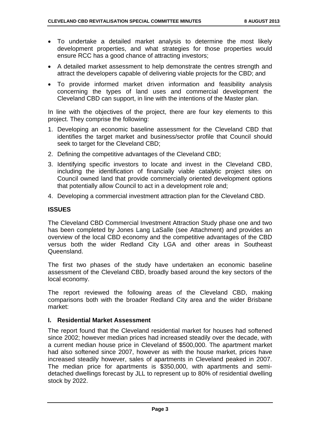- To undertake a detailed market analysis to determine the most likely development properties, and what strategies for those properties would ensure RCC has a good chance of attracting investors;
- A detailed market assessment to help demonstrate the centres strength and attract the developers capable of delivering viable projects for the CBD; and
- To provide informed market driven information and feasibility analysis concerning the types of land uses and commercial development the Cleveland CBD can support, in line with the intentions of the Master plan.

In line with the objectives of the project, there are four key elements to this project. They comprise the following:

- 1. Developing an economic baseline assessment for the Cleveland CBD that identifies the target market and business/sector profile that Council should seek to target for the Cleveland CBD;
- 2. Defining the competitive advantages of the Cleveland CBD;
- 3. Identifying specific investors to locate and invest in the Cleveland CBD, including the identification of financially viable catalytic project sites on Council owned land that provide commercially oriented development options that potentially allow Council to act in a development role and;
- 4. Developing a commercial investment attraction plan for the Cleveland CBD.

#### **ISSUES**

The Cleveland CBD Commercial Investment Attraction Study phase one and two has been completed by Jones Lang LaSalle (see Attachment) and provides an overview of the local CBD economy and the competitive advantages of the CBD versus both the wider Redland City LGA and other areas in Southeast Queensland.

The first two phases of the study have undertaken an economic baseline assessment of the Cleveland CBD, broadly based around the key sectors of the local economy.

The report reviewed the following areas of the Cleveland CBD, making comparisons both with the broader Redland City area and the wider Brisbane market:

#### **I. Residential Market Assessment**

The report found that the Cleveland residential market for houses had softened since 2002; however median prices had increased steadily over the decade, with a current median house price in Cleveland of \$500,000. The apartment market had also softened since 2007, however as with the house market, prices have increased steadily however, sales of apartments in Cleveland peaked in 2007. The median price for apartments is \$350,000, with apartments and semidetached dwellings forecast by JLL to represent up to 80% of residential dwelling stock by 2022.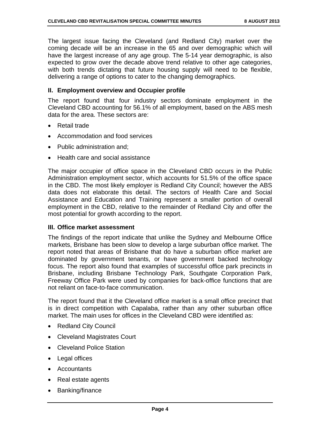The largest issue facing the Cleveland (and Redland City) market over the coming decade will be an increase in the 65 and over demographic which will have the largest increase of any age group. The 5-14 year demographic, is also expected to grow over the decade above trend relative to other age categories, with both trends dictating that future housing supply will need to be flexible, delivering a range of options to cater to the changing demographics.

#### **II. Employment overview and Occupier profile**

The report found that four industry sectors dominate employment in the Cleveland CBD accounting for 56.1% of all employment, based on the ABS mesh data for the area. These sectors are:

- Retail trade
- Accommodation and food services
- Public administration and:
- Health care and social assistance

The major occupier of office space in the Cleveland CBD occurs in the Public Administration employment sector, which accounts for 51.5% of the office space in the CBD. The most likely employer is Redland City Council; however the ABS data does not elaborate this detail. The sectors of Health Care and Social Assistance and Education and Training represent a smaller portion of overall employment in the CBD, relative to the remainder of Redland City and offer the most potential for growth according to the report.

#### **III. Office market assessment**

The findings of the report indicate that unlike the Sydney and Melbourne Office markets, Brisbane has been slow to develop a large suburban office market. The report noted that areas of Brisbane that do have a suburban office market are dominated by government tenants, or have government backed technology focus. The report also found that examples of successful office park precincts in Brisbane, including Brisbane Technology Park, Southgate Corporation Park, Freeway Office Park were used by companies for back-office functions that are not reliant on face-to-face communication.

The report found that it the Cleveland office market is a small office precinct that is in direct competition with Capalaba, rather than any other suburban office market. The main uses for offices in the Cleveland CBD were identified as:

- Redland City Council
- Cleveland Magistrates Court
- Cleveland Police Station
- Legal offices
- Accountants
- Real estate agents
- Banking/finance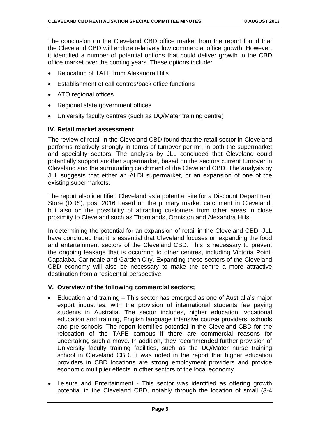The conclusion on the Cleveland CBD office market from the report found that the Cleveland CBD will endure relatively low commercial office growth. However, it identified a number of potential options that could deliver growth in the CBD office market over the coming years. These options include:

- Relocation of TAFE from Alexandra Hills
- Establishment of call centres/back office functions
- ATO regional offices
- Regional state government offices
- University faculty centres (such as UQ/Mater training centre)

#### **IV. Retail market assessment**

The review of retail in the Cleveland CBD found that the retail sector in Cleveland performs relatively strongly in terms of turnover per m², in both the supermarket and speciality sectors. The analysis by JLL concluded that Cleveland could potentially support another supermarket, based on the sectors current turnover in Cleveland and the surrounding catchment of the Cleveland CBD. The analysis by JLL suggests that either an ALDI supermarket, or an expansion of one of the existing supermarkets.

The report also identified Cleveland as a potential site for a Discount Department Store (DDS), post 2016 based on the primary market catchment in Cleveland, but also on the possibility of attracting customers from other areas in close proximity to Cleveland such as Thornlands, Ormiston and Alexandra Hills.

In determining the potential for an expansion of retail in the Cleveland CBD, JLL have concluded that it is essential that Cleveland focuses on expanding the food and entertainment sectors of the Cleveland CBD. This is necessary to prevent the ongoing leakage that is occurring to other centres, including Victoria Point, Capalaba, Carindale and Garden City. Expanding these sectors of the Cleveland CBD economy will also be necessary to make the centre a more attractive destination from a residential perspective.

#### **V. Overview of the following commercial sectors;**

- Education and training This sector has emerged as one of Australia's major export industries, with the provision of international students fee paying students in Australia. The sector includes, higher education, vocational education and training, English language intensive course providers, schools and pre-schools. The report identifies potential in the Cleveland CBD for the relocation of the TAFE campus if there are commercial reasons for undertaking such a move. In addition, they recommended further provision of University faculty training facilities, such as the UQ/Mater nurse training school in Cleveland CBD. It was noted in the report that higher education providers in CBD locations are strong employment providers and provide economic multiplier effects in other sectors of the local economy.
- Leisure and Entertainment This sector was identified as offering growth potential in the Cleveland CBD, notably through the location of small (3-4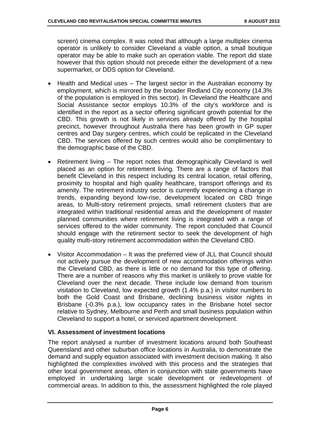screen) cinema complex. It was noted that although a large multiplex cinema operator is unlikely to consider Cleveland a viable option, a small boutique operator may be able to make such an operation viable. The report did state however that this option should not precede either the development of a new supermarket, or DDS option for Cleveland.

- Health and Medical uses The largest sector in the Australian economy by employment, which is mirrored by the broader Redland City economy (14.3% of the population is employed in this sector). In Cleveland the Healthcare and Social Assistance sector employs 10.3% of the city's workforce and is identified in the report as a sector offering significant growth potential for the CBD. This growth is not likely in services already offered by the hospital precinct, however throughout Australia there has been growth in GP super centres and Day surgery centres, which could be replicated in the Cleveland CBD. The services offered by such centres would also be complimentary to the demographic base of the CBD.
- Retirement living The report notes that demographically Cleveland is well placed as an option for retirement living. There are a range of factors that benefit Cleveland in this respect including its central location, retail offering, proximity to hospital and high quality healthcare, transport offerings and its amenity. The retirement industry sector is currently experiencing a change in trends, expanding beyond low-rise, development located on CBD fringe areas, to Multi-story retirement projects, small retirement clusters that are integrated within traditional residential areas and the development of master planned communities where retirement living is integrated with a range of services offered to the wider community. The report concluded that Council should engage with the retirement sector to seek the development of high quality multi-story retirement accommodation within the Cleveland CBD.
- Visitor Accommodation It was the preferred view of JLL that Council should not actively pursue the development of new accommodation offerings within the Cleveland CBD, as there is little or no demand for this type of offering. There are a number of reasons why this market is unlikely to prove viable for Cleveland over the next decade. These include low demand from tourism visitation to Cleveland, low expected growth (1.4% p.a.) in visitor numbers to both the Gold Coast and Brisbane, declining business visitor nights in Brisbane (-0.3% p.a.), low occupancy rates in the Brisbane hotel sector relative to Sydney, Melbourne and Perth and small business population within Cleveland to support a hotel, or serviced apartment development.

#### **VI. Assessment of investment locations**

The report analysed a number of investment locations around both Southeast Queensland and other suburban office locations in Australia, to demonstrate the demand and supply equation associated with investment decision making. It also highlighted the complexities involved with this process and the strategies that other local government areas, often in conjunction with state governments have employed in undertaking large scale development or redevelopment of commercial areas. In addition to this, the assessment highlighted the role played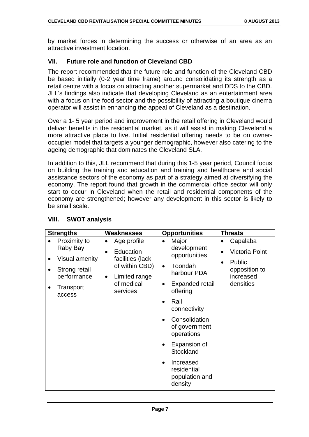by market forces in determining the success or otherwise of an area as an attractive investment location.

#### **VII. Future role and function of Cleveland CBD**

The report recommended that the future role and function of the Cleveland CBD be based initially (0-2 year time frame) around consolidating its strength as a retail centre with a focus on attracting another supermarket and DDS to the CBD. JLL's findings also indicate that developing Cleveland as an entertainment area with a focus on the food sector and the possibility of attracting a boutique cinema operator will assist in enhancing the appeal of Cleveland as a destination.

Over a 1- 5 year period and improvement in the retail offering in Cleveland would deliver benefits in the residential market, as it will assist in making Cleveland a more attractive place to live. Initial residential offering needs to be on owneroccupier model that targets a younger demographic, however also catering to the ageing demographic that dominates the Cleveland SLA.

In addition to this, JLL recommend that during this 1-5 year period, Council focus on building the training and education and training and healthcare and social assistance sectors of the economy as part of a strategy aimed at diversifying the economy. The report found that growth in the commercial office sector will only start to occur in Cleveland when the retail and residential components of the economy are strengthened; however any development in this sector is likely to be small scale.

| <b>Strengths</b>                                                      | <b>Weaknesses</b>                                                                          | <b>Opportunities</b>                                                                                                                                                                                                                                                                                               | <b>Threats</b>                                                                          |
|-----------------------------------------------------------------------|--------------------------------------------------------------------------------------------|--------------------------------------------------------------------------------------------------------------------------------------------------------------------------------------------------------------------------------------------------------------------------------------------------------------------|-----------------------------------------------------------------------------------------|
| Proximity to<br>Raby Bay                                              | Age profile<br>$\bullet$<br>Education<br>$\bullet$                                         | Major<br>$\bullet$<br>development                                                                                                                                                                                                                                                                                  | Capalaba<br>$\bullet$<br>$\bullet$                                                      |
| Visual amenity<br>Strong retail<br>performance<br>Transport<br>access | facilities (lack<br>of within CBD)<br>Limited range<br>$\bullet$<br>of medical<br>services | opportunities<br>Toondah<br>$\bullet$<br>harbour PDA<br>Expanded retail<br>$\bullet$<br>offering<br>Rail<br>$\bullet$<br>connectivity<br>Consolidation<br>$\bullet$<br>of government<br>operations<br>Expansion of<br>$\bullet$<br>Stockland<br>Increased<br>$\bullet$<br>residential<br>population and<br>density | <b>Victoria Point</b><br>Public<br>$\bullet$<br>opposition to<br>increased<br>densities |

#### **VIII. SWOT analysis**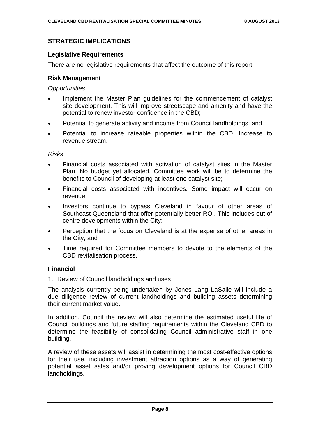#### **STRATEGIC IMPLICATIONS**

#### **Legislative Requirements**

There are no legislative requirements that affect the outcome of this report.

#### **Risk Management**

#### *Opportunities*

- Implement the Master Plan guidelines for the commencement of catalyst site development. This will improve streetscape and amenity and have the potential to renew investor confidence in the CBD;
- Potential to generate activity and income from Council landholdings; and
- Potential to increase rateable properties within the CBD. Increase to revenue stream.

#### *Risks*

- Financial costs associated with activation of catalyst sites in the Master Plan. No budget yet allocated. Committee work will be to determine the benefits to Council of developing at least one catalyst site;
- Financial costs associated with incentives. Some impact will occur on revenue;
- Investors continue to bypass Cleveland in favour of other areas of Southeast Queensland that offer potentially better ROI. This includes out of centre developments within the City;
- Perception that the focus on Cleveland is at the expense of other areas in the City; and
- Time required for Committee members to devote to the elements of the CBD revitalisation process.

#### **Financial**

1. Review of Council landholdings and uses

The analysis currently being undertaken by Jones Lang LaSalle will include a due diligence review of current landholdings and building assets determining their current market value.

In addition, Council the review will also determine the estimated useful life of Council buildings and future staffing requirements within the Cleveland CBD to determine the feasibility of consolidating Council administrative staff in one building.

A review of these assets will assist in determining the most cost-effective options for their use, including investment attraction options as a way of generating potential asset sales and/or proving development options for Council CBD landholdings.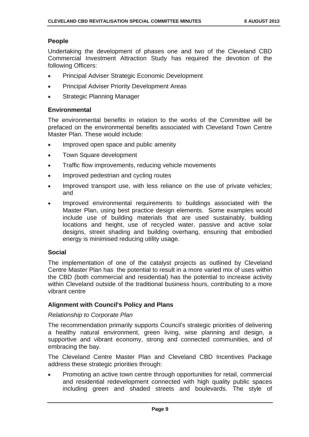#### **People**

Undertaking the development of phases one and two of the Cleveland CBD Commercial Investment Attraction Study has required the devotion of the following Officers:

- Principal Adviser Strategic Economic Development
- Principal Adviser Priority Development Areas
- Strategic Planning Manager

#### **Environmental**

The environmental benefits in relation to the works of the Committee will be prefaced on the environmental benefits associated with Cleveland Town Centre Master Plan. These would include:

- Improved open space and public amenity
- Town Square development
- Traffic flow improvements, reducing vehicle movements
- Improved pedestrian and cycling routes
- Improved transport use, with less reliance on the use of private vehicles; and
- Improved environmental requirements to buildings associated with the Master Plan, using best practice design elements. Some examples would include use of building materials that are used sustainably, building locations and height, use of recycled water, passive and active solar designs, street shading and building overhang, ensuring that embodied energy is minimised reducing utility usage.

#### **Social**

The implementation of one of the catalyst projects as outlined by Cleveland Centre Master Plan has the potential to result in a more varied mix of uses within the CBD (both commercial and residential) has the potential to increase activity within Cleveland outside of the traditional business hours, contributing to a more vibrant centre

#### **Alignment with Council's Policy and Plans**

#### *Relationship to Corporate Plan*

The recommendation primarily supports Council's strategic priorities of delivering a healthy natural environment, green living, wise planning and design, a supportive and vibrant economy, strong and connected communities, and of embracing the bay.

The Cleveland Centre Master Plan and Cleveland CBD Incentives Package address these strategic priorities through:

 Promoting an active town centre through opportunities for retail, commercial and residential redevelopment connected with high quality public spaces including green and shaded streets and boulevards. The style of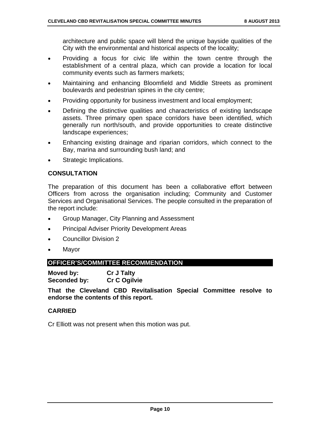architecture and public space will blend the unique bayside qualities of the City with the environmental and historical aspects of the locality;

- Providing a focus for civic life within the town centre through the establishment of a central plaza, which can provide a location for local community events such as farmers markets;
- Maintaining and enhancing Bloomfield and Middle Streets as prominent boulevards and pedestrian spines in the city centre;
- Providing opportunity for business investment and local employment;
- Defining the distinctive qualities and characteristics of existing landscape assets. Three primary open space corridors have been identified, which generally run north/south, and provide opportunities to create distinctive landscape experiences;
- Enhancing existing drainage and riparian corridors, which connect to the Bay, marina and surrounding bush land; and
- Strategic Implications.

#### **CONSULTATION**

The preparation of this document has been a collaborative effort between Officers from across the organisation including; Community and Customer Services and Organisational Services. The people consulted in the preparation of the report include:

- Group Manager, City Planning and Assessment
- Principal Adviser Priority Development Areas
- Councillor Division 2
- Mayor

#### **OFFICER'S/COMMITTEE RECOMMENDATION**

**Moved by: Cr J Talty Seconded by: Cr C Ogilvie** 

**That the Cleveland CBD Revitalisation Special Committee resolve to endorse the contents of this report.** 

#### **CARRIED**

Cr Elliott was not present when this motion was put.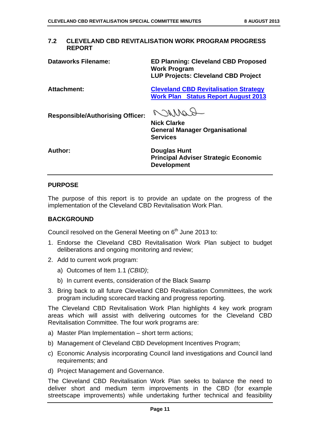#### **7.2 CLEVELAND CBD REVITALISATION WORK PROGRAM PROGRESS REPORT**

**Dataworks Filename: ED Planning: Cleveland CBD Proposed Work Program LUP Projects: Cleveland CBD Project** 

**Attachment: Cleveland CBD Revitalisation Strategy Work Plan Status Report August 2013**

**Responsible/Authorising Officer:** 

Carron

**Nick Clarke General Manager Organisational Services** 

**Author: Douglas Hunt Principal Adviser Strategic Economic Development** 

#### **PURPOSE**

The purpose of this report is to provide an update on the progress of the implementation of the Cleveland CBD Revitalisation Work Plan.

#### **BACKGROUND**

Council resolved on the General Meeting on  $6<sup>th</sup>$  June 2013 to:

- 1. Endorse the Cleveland CBD Revitalisation Work Plan subject to budget deliberations and ongoing monitoring and review;
- 2. Add to current work program:
	- a) Outcomes of Item 1.1 *(CBID)*;
	- b) In current events, consideration of the Black Swamp
- 3. Bring back to all future Cleveland CBD Revitalisation Committees, the work program including scorecard tracking and progress reporting.

The Cleveland CBD Revitalisation Work Plan highlights 4 key work program areas which will assist with delivering outcomes for the Cleveland CBD Revitalisation Committee. The four work programs are:

- a) Master Plan Implementation short term actions;
- b) Management of Cleveland CBD Development Incentives Program;
- c) Economic Analysis incorporating Council land investigations and Council land requirements; and
- d) Project Management and Governance.

The Cleveland CBD Revitalisation Work Plan seeks to balance the need to deliver short and medium term improvements in the CBD (for example streetscape improvements) while undertaking further technical and feasibility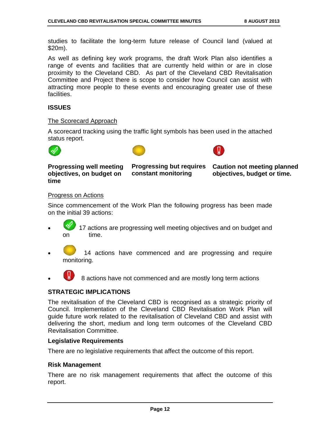studies to facilitate the long-term future release of Council land (valued at \$20m).

As well as defining key work programs, the draft Work Plan also identifies a range of events and facilities that are currently held within or are in close proximity to the Cleveland CBD. As part of the Cleveland CBD Revitalisation Committee and Project there is scope to consider how Council can assist with attracting more people to these events and encouraging greater use of these facilities.

#### **ISSUES**

#### The Scorecard Approach

A scorecard tracking using the traffic light symbols has been used in the attached status report.







**Progressing well meeting objectives, on budget on time** 

**Progressing but requires constant monitoring** 

**Caution not meeting planned objectives, budget or time.** 

#### Progress on Actions

Since commencement of the Work Plan the following progress has been made on the initial 39 actions:

- 17 actions are progressing well meeting objectives and on budget and on time.
- 14 actions have commenced and are progressing and require monitoring.

8 actions have not commenced and are mostly long term actions

#### **STRATEGIC IMPLICATIONS**

The revitalisation of the Cleveland CBD is recognised as a strategic priority of Council. Implementation of the Cleveland CBD Revitalisation Work Plan will guide future work related to the revitalisation of Cleveland CBD and assist with delivering the short, medium and long term outcomes of the Cleveland CBD Revitalisation Committee.

#### **Legislative Requirements**

There are no legislative requirements that affect the outcome of this report.

#### **Risk Management**

There are no risk management requirements that affect the outcome of this report.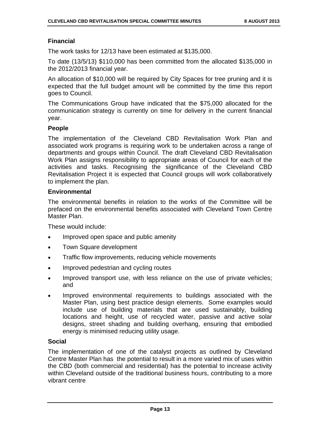#### **Financial**

The work tasks for 12/13 have been estimated at \$135,000.

To date (13/5/13) \$110,000 has been committed from the allocated \$135,000 in the 2012/2013 financial year.

An allocation of \$10,000 will be required by City Spaces for tree pruning and it is expected that the full budget amount will be committed by the time this report goes to Council.

The Communications Group have indicated that the \$75,000 allocated for the communication strategy is currently on time for delivery in the current financial year.

#### **People**

The implementation of the Cleveland CBD Revitalisation Work Plan and associated work programs is requiring work to be undertaken across a range of departments and groups within Council. The draft Cleveland CBD Revitalisation Work Plan assigns responsibility to appropriate areas of Council for each of the activities and tasks. Recognising the significance of the Cleveland CBD Revitalisation Project it is expected that Council groups will work collaboratively to implement the plan.

#### **Environmental**

The environmental benefits in relation to the works of the Committee will be prefaced on the environmental benefits associated with Cleveland Town Centre Master Plan.

These would include:

- Improved open space and public amenity
- Town Square development
- Traffic flow improvements, reducing vehicle movements
- Improved pedestrian and cycling routes
- Improved transport use, with less reliance on the use of private vehicles; and
- Improved environmental requirements to buildings associated with the Master Plan, using best practice design elements. Some examples would include use of building materials that are used sustainably, building locations and height, use of recycled water, passive and active solar designs, street shading and building overhang, ensuring that embodied energy is minimised reducing utility usage.

#### **Social**

The implementation of one of the catalyst projects as outlined by Cleveland Centre Master Plan has the potential to result in a more varied mix of uses within the CBD (both commercial and residential) has the potential to increase activity within Cleveland outside of the traditional business hours, contributing to a more vibrant centre